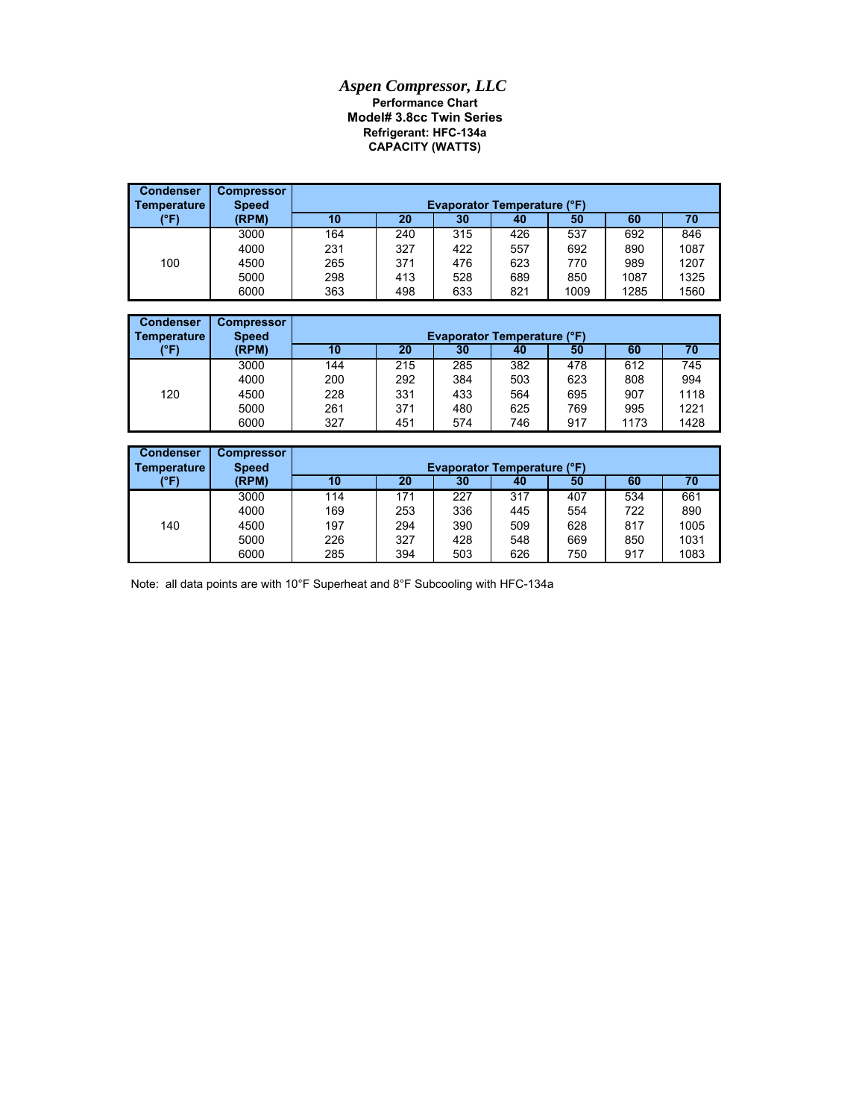## *Aspen Compressor, LLC* **Performance Chart Model# 3.8cc Twin Series CAPACITY (WATTS) Refrigerant: HFC-134a**

| <b>Condenser</b><br>Temperature | <b>Compressor</b><br><b>Speed</b> | <b>Evaporator Temperature (°F)</b> |     |     |     |      |      |      |
|---------------------------------|-----------------------------------|------------------------------------|-----|-----|-----|------|------|------|
| (°F)                            | (RPM)                             | 10                                 | 20  | 30  | 40  | 50   | 60   | 70   |
|                                 | 3000                              | 164                                | 240 | 315 | 426 | 537  | 692  | 846  |
|                                 | 4000                              | 231                                | 327 | 422 | 557 | 692  | 890  | 1087 |
| 100                             | 4500                              | 265                                | 371 | 476 | 623 | 770  | 989  | 1207 |
|                                 | 5000                              | 298                                | 413 | 528 | 689 | 850  | 1087 | 1325 |
|                                 | 6000                              | 363                                | 498 | 633 | 821 | 1009 | 1285 | 1560 |

| <b>Condenser</b> | <b>Compressor</b> |     |                                    |     |     |     |      |      |  |  |
|------------------|-------------------|-----|------------------------------------|-----|-----|-----|------|------|--|--|
| Temperature      | <b>Speed</b>      |     | <b>Evaporator Temperature (°F)</b> |     |     |     |      |      |  |  |
| (°F)             | (RPM)             | 10  | 20                                 | 30  | 40  | 50  | 60   | 70   |  |  |
|                  | 3000              | 144 | 215                                | 285 | 382 | 478 | 612  | 745  |  |  |
|                  | 4000              | 200 | 292                                | 384 | 503 | 623 | 808  | 994  |  |  |
| 120              | 4500              | 228 | 331                                | 433 | 564 | 695 | 907  | 1118 |  |  |
|                  | 5000              | 261 | 371                                | 480 | 625 | 769 | 995  | 1221 |  |  |
|                  | 6000              | 327 | 451                                | 574 | 746 | 917 | 1173 | 1428 |  |  |

| <b>Condenser</b><br>Temperature | <b>Compressor</b><br><b>Speed</b> |     | <b>Evaporator Temperature (°F)</b> |                 |     |     |     |      |  |  |
|---------------------------------|-----------------------------------|-----|------------------------------------|-----------------|-----|-----|-----|------|--|--|
| (°F)                            | (RPM)                             | 10  | 20                                 | 30 <sub>1</sub> | 40  | 50  | 60  |      |  |  |
|                                 | 3000                              | 114 | 171                                | 227             | 317 | 407 | 534 | 661  |  |  |
|                                 | 4000                              | 169 | 253                                | 336             | 445 | 554 | 722 | 890  |  |  |
| 140                             | 4500                              | 197 | 294                                | 390             | 509 | 628 | 817 | 1005 |  |  |
|                                 | 5000                              | 226 | 327                                | 428             | 548 | 669 | 850 | 1031 |  |  |
|                                 | 6000                              | 285 | 394                                | 503             | 626 | 750 | 917 | 1083 |  |  |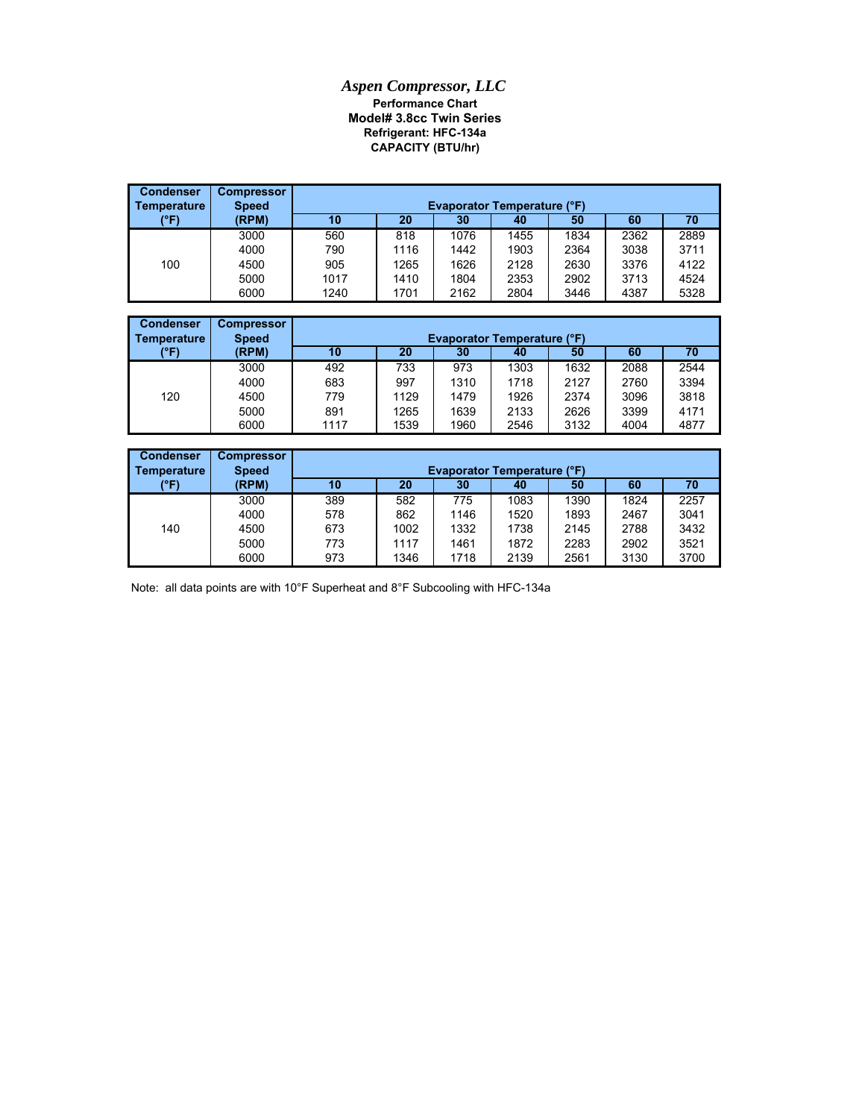## *Aspen Compressor, LLC* **Performance Chart Model# 3.8cc Twin Series Refrigerant: HFC-134a CAPACITY (BTU/hr)**

| <b>Condenser</b><br>Temperature | <b>Compressor</b><br><b>Speed</b> |      | <b>Evaporator Temperature (°F)</b> |      |      |      |      |      |  |  |
|---------------------------------|-----------------------------------|------|------------------------------------|------|------|------|------|------|--|--|
| (°F)                            | (RPM)                             | 10   | 20                                 | 30   | 40   | 50   | 60   | 70   |  |  |
|                                 | 3000                              | 560  | 818                                | 1076 | 1455 | 1834 | 2362 | 2889 |  |  |
|                                 | 4000                              | 790  | 1116                               | 1442 | 1903 | 2364 | 3038 | 3711 |  |  |
| 100                             | 4500                              | 905  | 1265                               | 1626 | 2128 | 2630 | 3376 | 4122 |  |  |
|                                 | 5000                              | 1017 | 1410                               | 1804 | 2353 | 2902 | 3713 | 4524 |  |  |
|                                 | 6000                              | 1240 | 1701                               | 2162 | 2804 | 3446 | 4387 | 5328 |  |  |

| Condenser<br><b>Temperature</b> | <b>Compressor</b><br><b>Speed</b> | <b>Evaporator Temperature (°F)</b> |      |      |      |      |      |      |
|---------------------------------|-----------------------------------|------------------------------------|------|------|------|------|------|------|
| (°F)                            | (RPM)                             | 10                                 | 20   | 30   | 40   | 50   | 60   | 70   |
|                                 | 3000                              | 492                                | 733  | 973  | 1303 | 1632 | 2088 | 2544 |
|                                 | 4000                              | 683                                | 997  | 1310 | 1718 | 2127 | 2760 | 3394 |
| 120                             | 4500                              | 779                                | 1129 | 1479 | 1926 | 2374 | 3096 | 3818 |
|                                 | 5000                              | 891                                | 1265 | 1639 | 2133 | 2626 | 3399 | 4171 |
|                                 | 6000                              | 1117                               | 1539 | 1960 | 2546 | 3132 | 4004 | 4877 |

| <b>Condenser</b><br>  Temperature | <b>Compressor</b><br><b>Speed</b> | <b>Evaporator Temperature (°F)</b> |      |      |      |      |      |      |  |
|-----------------------------------|-----------------------------------|------------------------------------|------|------|------|------|------|------|--|
| (°F)                              | (RPM)                             | 10                                 | 20   | 30   | 40   | 50   | 60   | 70   |  |
|                                   | 3000                              | 389                                | 582  | 775  | 1083 | 1390 | 1824 | 2257 |  |
|                                   | 4000                              | 578                                | 862  | 1146 | 1520 | 1893 | 2467 | 3041 |  |
| 140                               | 4500                              | 673                                | 1002 | 1332 | 1738 | 2145 | 2788 | 3432 |  |
|                                   | 5000                              | 773                                | 1117 | 1461 | 1872 | 2283 | 2902 | 3521 |  |
|                                   | 6000                              | 973                                | 1346 | 1718 | 2139 | 2561 | 3130 | 3700 |  |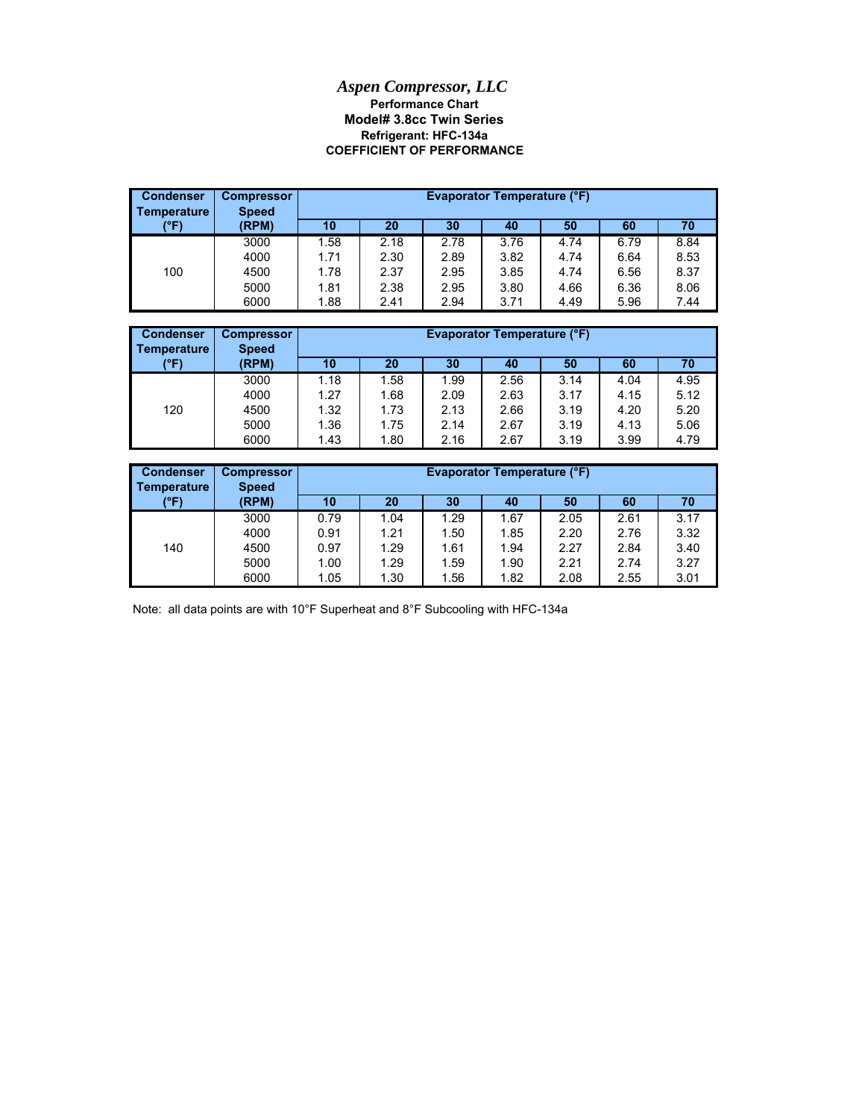## **Model# 3.8cc Twin Series** *Aspen Compressor, LLC* **Performance Chart COEFFICIENT OF PERFORMANCE Refrigerant: HFC-134a**

| <b>Condenser</b><br>Temperature | <b>Compressor</b><br><b>Speed</b> |      |      |      | <b>Evaporator Temperature (°F)</b> |      |      |      |
|---------------------------------|-----------------------------------|------|------|------|------------------------------------|------|------|------|
| (°F)                            | (RPM)                             | 10   | 20   | 30   | 40                                 | 50   | 60   | 70   |
|                                 | 3000                              | 1.58 | 2.18 | 2.78 | 3.76                               | 4.74 | 6.79 | 8.84 |
|                                 | 4000                              | 1.71 | 2.30 | 2.89 | 3.82                               | 4.74 | 6.64 | 8.53 |
| 100                             | 4500                              | 1.78 | 2.37 | 2.95 | 3.85                               | 4.74 | 6.56 | 8.37 |
|                                 | 5000                              | 1.81 | 2.38 | 2.95 | 3.80                               | 4.66 | 6.36 | 8.06 |
|                                 | 6000                              | 1.88 | 2.41 | 2.94 | 3.71                               | 4.49 | 5.96 | 7.44 |

| <b>Condenser</b><br>Temperature | <b>Compressor</b><br><b>Speed</b> |      | <b>Evaporator Temperature (°F)</b><br>20<br>60<br>10<br>30<br>50<br>40<br>70 |      |      |      |      |      |  |
|---------------------------------|-----------------------------------|------|------------------------------------------------------------------------------|------|------|------|------|------|--|
| (°F)                            | (RPM)                             |      |                                                                              |      |      |      |      |      |  |
|                                 | 3000                              | 1.18 | 1.58                                                                         | 1.99 | 2.56 | 3.14 | 4.04 | 4.95 |  |
|                                 | 4000                              | 1.27 | 1.68                                                                         | 2.09 | 2.63 | 3.17 | 4.15 | 5.12 |  |
| 120                             | 4500                              | 1.32 | 1.73                                                                         | 2.13 | 2.66 | 3.19 | 4.20 | 5.20 |  |
|                                 | 5000                              | 1.36 | 1.75                                                                         | 2.14 | 2.67 | 3.19 | 4.13 | 5.06 |  |
|                                 | 6000                              | 1.43 | 1.80                                                                         | 2.16 | 2.67 | 3.19 | 3.99 | 4.79 |  |

| <b>Condenser</b><br>Temperature | <b>Compressor</b><br><b>Speed</b> |      | <b>Evaporator Temperature (°F)</b> |      |      |      |      |      |  |
|---------------------------------|-----------------------------------|------|------------------------------------|------|------|------|------|------|--|
| (°F)                            | (RPM)                             | 10   | 20                                 | 30   | 40   | 50   | 60   | 70   |  |
|                                 | 3000                              | 0.79 | 1.04                               | 1.29 | 1.67 | 2.05 | 2.61 | 3.17 |  |
|                                 | 4000                              | 0.91 | 1.21                               | 1.50 | 1.85 | 2.20 | 2.76 | 3.32 |  |
| 140                             | 4500                              | 0.97 | 1.29                               | 1.61 | 1.94 | 2.27 | 2.84 | 3.40 |  |
|                                 | 5000                              | 1.00 | 1.29                               | 1.59 | 1.90 | 2.21 | 2.74 | 3.27 |  |
|                                 | 6000                              | 1.05 | 1.30                               | 1.56 | 1.82 | 2.08 | 2.55 | 3.01 |  |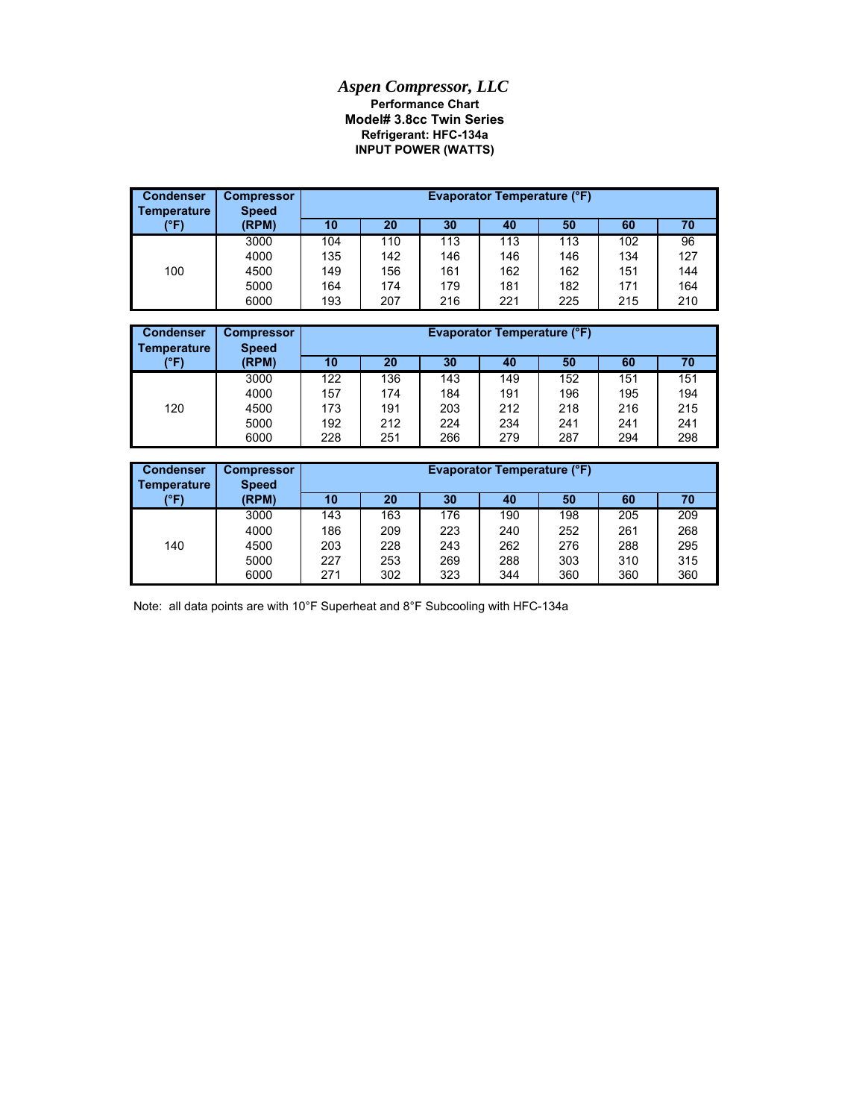## *Aspen Compressor, LLC* **Refrigerant: HFC-134a Model# 3.8cc Twin Series Performance Chart INPUT POWER (WATTS)**

| <b>Condenser</b><br><b>Temperature</b> | <b>Compressor</b><br><b>Speed</b> |     | <b>Evaporator Temperature (°F)</b> |     |     |     |     |     |  |
|----------------------------------------|-----------------------------------|-----|------------------------------------|-----|-----|-----|-----|-----|--|
| (°F)                                   | (RPM)                             | 10  | 20                                 | 30  | 40  | 50  | 60  | 70  |  |
|                                        | 3000                              | 104 | 110                                | 113 | 113 | 113 | 102 | 96  |  |
|                                        | 4000                              | 135 | 142                                | 146 | 146 | 146 | 134 | 127 |  |
| 100                                    | 4500                              | 149 | 156                                | 161 | 162 | 162 | 151 | 144 |  |
|                                        | 5000                              | 164 | 174                                | 179 | 181 | 182 | 171 | 164 |  |
|                                        | 6000                              | 193 | 207                                | 216 | 221 | 225 | 215 | 210 |  |

| <b>Condenser</b><br>Temperature | <b>Compressor</b><br><b>Speed</b> |     | <b>Evaporator Temperature (°F)</b> |     |     |     |     |     |  |  |
|---------------------------------|-----------------------------------|-----|------------------------------------|-----|-----|-----|-----|-----|--|--|
| (°F)                            | (RPM)                             | 10  | 20                                 | 30  | 40  | 50  | 60  | 70  |  |  |
|                                 | 3000                              | 122 | 136                                | 143 | 149 | 152 | 151 | 151 |  |  |
|                                 | 4000                              | 157 | 174                                | 184 | 191 | 196 | 195 | 194 |  |  |
| 120                             | 4500                              | 173 | 191                                | 203 | 212 | 218 | 216 | 215 |  |  |
|                                 | 5000                              | 192 | 212                                | 224 | 234 | 241 | 241 | 241 |  |  |
|                                 | 6000                              | 228 | 251                                | 266 | 279 | 287 | 294 | 298 |  |  |

| <b>Condenser</b><br><b>Temperature</b> | <b>Compressor</b><br><b>Speed</b> |     | Evaporator Temperature (°F) |     |     |     |     |     |  |
|----------------------------------------|-----------------------------------|-----|-----------------------------|-----|-----|-----|-----|-----|--|
| (°F)                                   | (RPM)                             | 10  | 20                          | 30  | 40  | 50  | 60  | 70  |  |
|                                        | 3000                              | 143 | 163                         | 176 | 190 | 198 | 205 | 209 |  |
|                                        | 4000                              | 186 | 209                         | 223 | 240 | 252 | 261 | 268 |  |
| 140                                    | 4500                              | 203 | 228                         | 243 | 262 | 276 | 288 | 295 |  |
|                                        | 5000                              | 227 | 253                         | 269 | 288 | 303 | 310 | 315 |  |
|                                        | 6000                              | 271 | 302                         | 323 | 344 | 360 | 360 | 360 |  |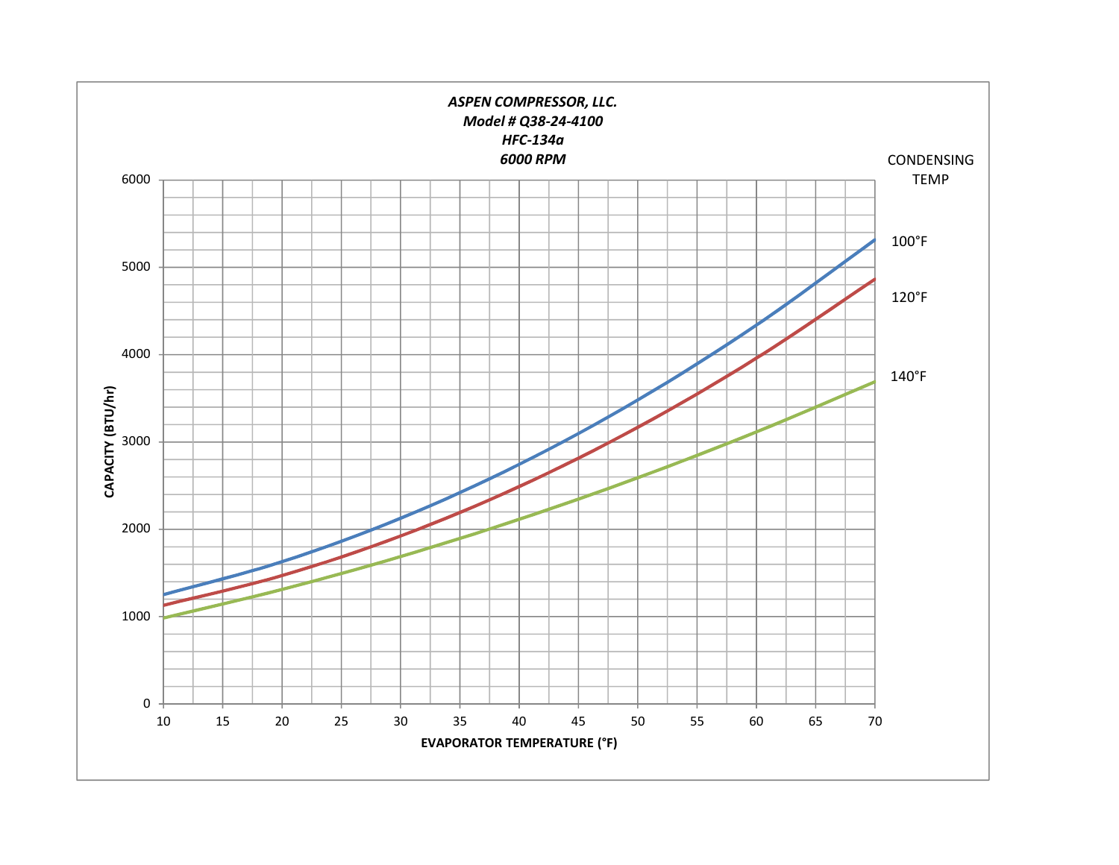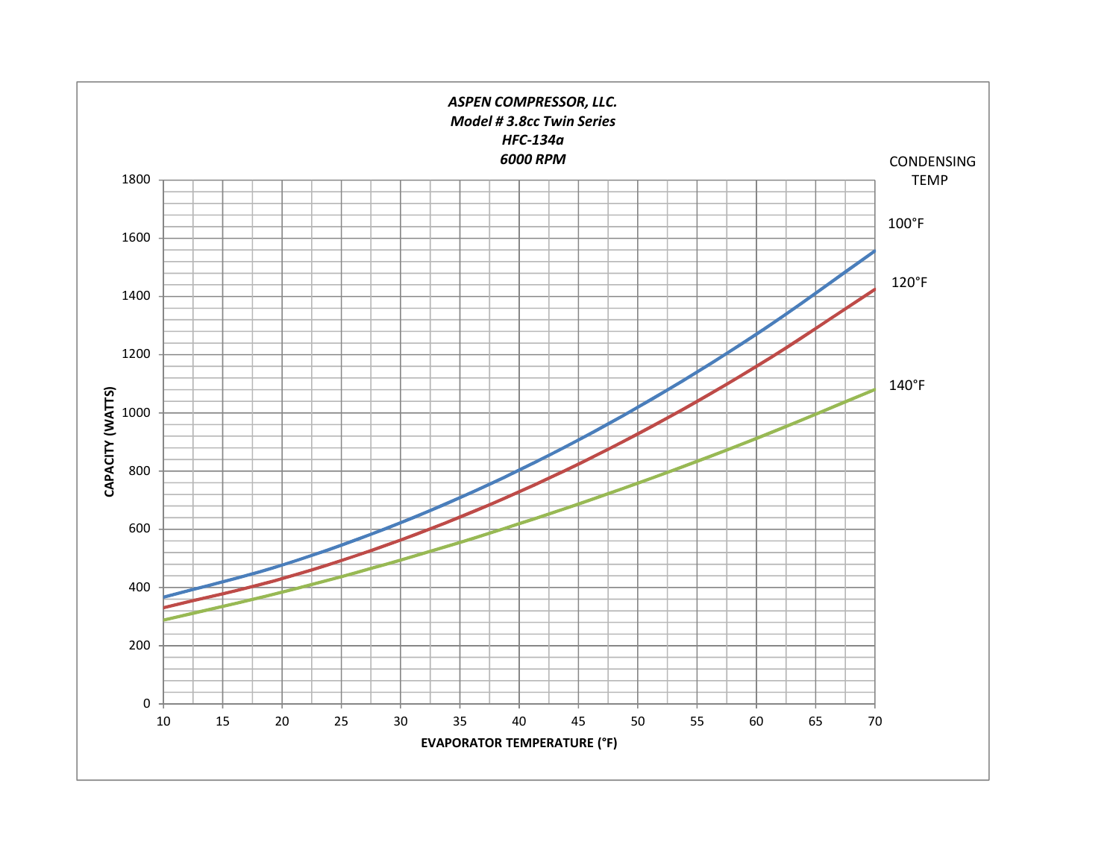